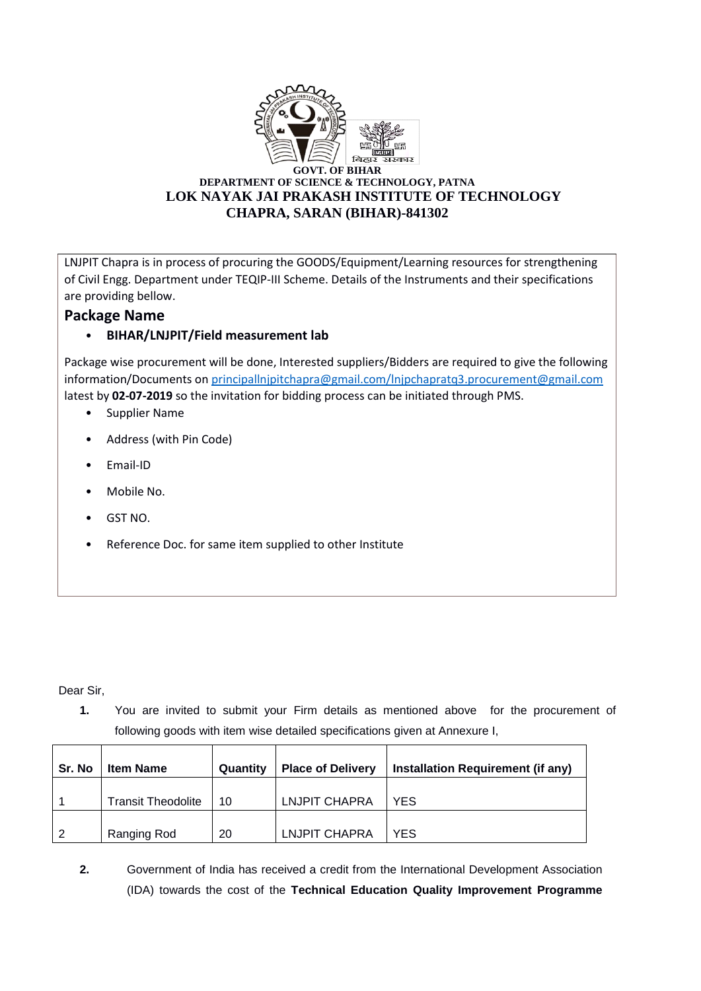

LNJPIT Chapra is in process of procuring the GOODS/Equipment/Learning resources for strengthening of Civil Engg. Department under TEQIP-III Scheme. Details of the Instruments and their specifications are providing bellow.

## **Package Name**

## • **BIHAR/LNJPIT/Field measurement lab**

Package wise procurement will be done, Interested suppliers/Bidders are required to give the following information/Documents o[n principallnjpitchapra@gmail.com/lnjpchapratq3.procurement@gmail.com](mailto:principallnjpitchapra@gmail.com/lnjpchapratq3.procurement@gmail.com) latest by **02-07-2019** so the invitation for bidding process can be initiated through PMS.

- Supplier Name
- Address (with Pin Code)
- Email-ID
- Mobile No.
- GST NO.
- Reference Doc. for same item supplied to other Institute

Dear Sir,

**1.** You are invited to submit your Firm details as mentioned above for the procurement of following goods with item wise detailed specifications given at Annexure I,

| Sr. No | <b>Item Name</b>          | Quantity | <b>Place of Delivery</b> | Installation Requirement (if any) |
|--------|---------------------------|----------|--------------------------|-----------------------------------|
|        | <b>Transit Theodolite</b> | 10       | <b>LNJPIT CHAPRA</b>     | <b>YES</b>                        |
| 2      | Ranging Rod               | 20       | LNJPIT CHAPRA            | YES                               |

**2.** Government of India has received a credit from the International Development Association (IDA) towards the cost of the **Technical Education Quality Improvement Programme**